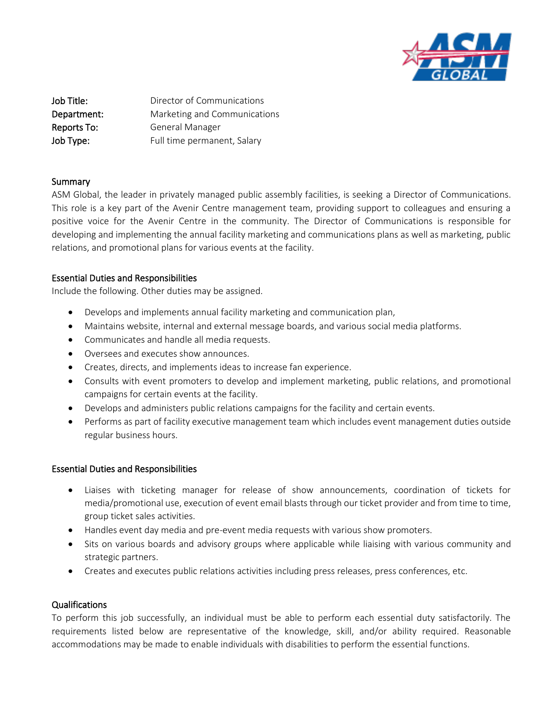

**Job Title:** Director of Communications Department: Marketing and Communications Reports To: General Manager Job Type: Full time permanent, Salary

### Summary

ASM Global, the leader in privately managed public assembly facilities, is seeking a Director of Communications. This role is a key part of the Avenir Centre management team, providing support to colleagues and ensuring a positive voice for the Avenir Centre in the community. The Director of Communications is responsible for developing and implementing the annual facility marketing and communications plans as well as marketing, public relations, and promotional plans for various events at the facility.

# Essential Duties and Responsibilities

Include the following. Other duties may be assigned.

- Develops and implements annual facility marketing and communication plan,
- Maintains website, internal and external message boards, and various social media platforms.
- Communicates and handle all media requests.
- Oversees and executes show announces.
- Creates, directs, and implements ideas to increase fan experience.
- Consults with event promoters to develop and implement marketing, public relations, and promotional campaigns for certain events at the facility.
- Develops and administers public relations campaigns for the facility and certain events.
- Performs as part of facility executive management team which includes event management duties outside regular business hours.

### Essential Duties and Responsibilities

- Liaises with ticketing manager for release of show announcements, coordination of tickets for media/promotional use, execution of event email blasts through our ticket provider and from time to time, group ticket sales activities.
- Handles event day media and pre-event media requests with various show promoters.
- Sits on various boards and advisory groups where applicable while liaising with various community and strategic partners.
- Creates and executes public relations activities including press releases, press conferences, etc.

### Qualifications

To perform this job successfully, an individual must be able to perform each essential duty satisfactorily. The requirements listed below are representative of the knowledge, skill, and/or ability required. Reasonable accommodations may be made to enable individuals with disabilities to perform the essential functions.